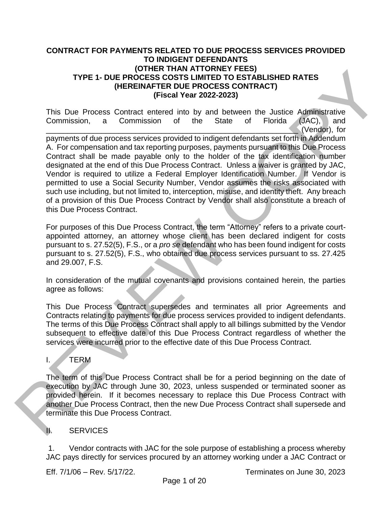#### **CONTRACT FOR PAYMENTS RELATED TO DUE PROCESS SERVICES PROVIDED TO INDIGENT DEFENDANTS (OTHER THAN ATTORNEY FEES) TYPE 1- DUE PROCESS COSTS LIMITED TO ESTABLISHED RATES (HEREINAFTER DUE PROCESS CONTRACT) (Fiscal Year 2022-2023)**

This Due Process Contract entered into by and between the Justice Administrative Commission, a Commission of the State of Florida (JAC), and \_\_\_\_\_\_\_\_\_\_\_\_\_\_\_\_\_\_\_\_\_\_\_\_\_\_\_\_\_\_\_\_\_\_\_\_\_\_\_\_\_\_\_\_\_\_\_\_\_\_\_\_\_\_\_\_\_\_\_ (Vendor), for payments of due process services provided to indigent defendants set forth in Addendum A. For compensation and tax reporting purposes, payments pursuant to this Due Process Contract shall be made payable only to the holder of the tax identification number designated at the end of this Due Process Contract. Unless a waiver is granted by JAC, Vendor is required to utilize a Federal Employer Identification Number. If Vendor is permitted to use a Social Security Number, Vendor assumes the risks associated with such use including, but not limited to, interception, misuse, and identity theft. Any breach of a provision of this Due Process Contract by Vendor shall also constitute a breach of this Due Process Contract. TYPE 1- DUE PROCEES COSTS LIMITED TO ESTABLISHED RATES<br>
(HEREINATE THAN AI UNIVER THE STABLISHED RATES<br>
(HEREINATES OUR FROCESS CONTRACT)<br>
(FISE ON FROCESS COSTS LIMITED TO ESTABLISHED RATES<br>
THIS DUE PROCESS CONTRACT)<br>
(

For purposes of this Due Process Contract, the term "Attorney" refers to a private courtappointed attorney, an attorney whose client has been declared indigent for costs pursuant to s. 27.52(5), F.S., or a *pro se* defendant who has been found indigent for costs pursuant to s. 27.52(5), F.S., who obtained due process services pursuant to ss. 27.425 and 29.007, F.S.

In consideration of the mutual covenants and provisions contained herein, the parties agree as follows:

This Due Process Contract supersedes and terminates all prior Agreements and Contracts relating to payments for due process services provided to indigent defendants. The terms of this Due Process Contract shall apply to all billings submitted by the Vendor subsequent to effective date of this Due Process Contract regardless of whether the services were incurred prior to the effective date of this Due Process Contract.

I. TERM

The term of this Due Process Contract shall be for a period beginning on the date of execution by JAC through June 30, 2023, unless suspended or terminated sooner as provided herein. If it becomes necessary to replace this Due Process Contract with another Due Process Contract, then the new Due Process Contract shall supersede and terminate this Due Process Contract.

## II. SERVICES

1. Vendor contracts with JAC for the sole purpose of establishing a process whereby JAC pays directly for services procured by an attorney working under a JAC Contract or

Eff. 7/1/06 – Rev. 5/17/22. Terminates on June 30, 2023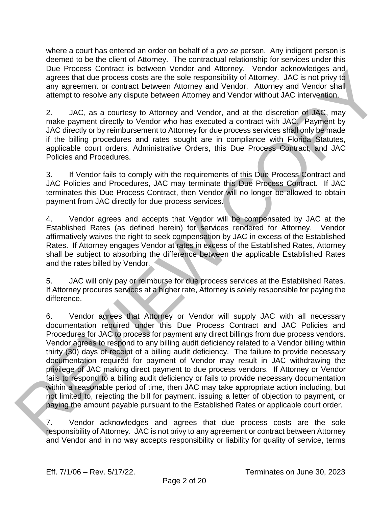where a court has entered an order on behalf of a *pro se* person. Any indigent person is deemed to be the client of Attorney. The contractual relationship for services under this Due Process Contract is between Vendor and Attorney. Vendor acknowledges and agrees that due process costs are the sole responsibility of Attorney. JAC is not privy to any agreement or contract between Attorney and Vendor. Attorney and Vendor shall attempt to resolve any dispute between Attorney and Vendor without JAC intervention.

2. JAC, as a courtesy to Attorney and Vendor, and at the discretion of JAC, may make payment directly to Vendor who has executed a contract with JAC. Payment by JAC directly or by reimbursement to Attorney for due process services shall only be made if the billing procedures and rates sought are in compliance with Florida Statutes, applicable court orders, Administrative Orders, this Due Process Contract, and JAC Policies and Procedures.

3. If Vendor fails to comply with the requirements of this Due Process Contract and JAC Policies and Procedures, JAC may terminate this Due Process Contract. If JAC terminates this Due Process Contract, then Vendor will no longer be allowed to obtain payment from JAC directly for due process services.

4. Vendor agrees and accepts that Vendor will be compensated by JAC at the Established Rates (as defined herein) for services rendered for Attorney. Vendor affirmatively waives the right to seek compensation by JAC in excess of the Established Rates. If Attorney engages Vendor at rates in excess of the Established Rates, Attorney shall be subject to absorbing the difference between the applicable Established Rates and the rates billed by Vendor.

5. JAC will only pay or reimburse for due process services at the Established Rates. If Attorney procures services at a higher rate, Attorney is solely responsible for paying the difference.

6. Vendor agrees that Attorney or Vendor will supply JAC with all necessary documentation required under this Due Process Contract and JAC Policies and Procedures for JAC to process for payment any direct billings from due process vendors. Vendor agrees to respond to any billing audit deficiency related to a Vendor billing within thirty (30) days of receipt of a billing audit deficiency. The failure to provide necessary documentation required for payment of Vendor may result in JAC withdrawing the privilege of JAC making direct payment to due process vendors. If Attorney or Vendor fails to respond to a billing audit deficiency or fails to provide necessary documentation within a reasonable period of time, then JAC may take appropriate action including, but not limited to, rejecting the bill for payment, issuing a letter of objection to payment, or paying the amount payable pursuant to the Established Rates or applicable court order. Use Process Contract is networking to an Attorney. Vendor at a proposition and a subspect of the proposition and the state of the state of the state of the state of the state of the state of the state of the state of the s

7. Vendor acknowledges and agrees that due process costs are the sole responsibility of Attorney. JAC is not privy to any agreement or contract between Attorney and Vendor and in no way accepts responsibility or liability for quality of service, terms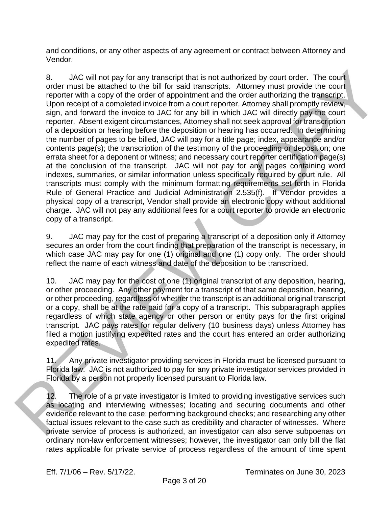and conditions, or any other aspects of any agreement or contract between Attorney and Vendor.

8. JAC will not pay for any transcript that is not authorized by court order. The court order must be attached to the bill for said transcripts. Attorney must provide the court reporter with a copy of the order of appointment and the order authorizing the transcript. Upon receipt of a completed invoice from a court reporter, Attorney shall promptly review, sign, and forward the invoice to JAC for any bill in which JAC will directly pay the court reporter. Absent exigent circumstances, Attorney shall not seek approval for transcription of a deposition or hearing before the deposition or hearing has occurred. In determining the number of pages to be billed, JAC will pay for a title page; index, appearance and/or contents page(s); the transcription of the testimony of the proceeding or deposition; one errata sheet for a deponent or witness; and necessary court reporter certification page(s) at the conclusion of the transcript. JAC will not pay for any pages containing word indexes, summaries, or similar information unless specifically required by court rule. All transcripts must comply with the minimum formatting requirements set forth in Florida Rule of General Practice and Judicial Administration 2.535(f). If Vendor provides a physical copy of a transcript, Vendor shall provide an electronic copy without additional charge. JAC will not pay any additional fees for a court reporter to provide an electronic copy of a transcript. 8.<br>
A.C will not pay for any transcript that is not subhorized by court order. The court<br>order must be attached the first is real transcript when the court<br>for the court<br>of the first increase that is completed involve from

9. JAC may pay for the cost of preparing a transcript of a deposition only if Attorney secures an order from the court finding that preparation of the transcript is necessary, in which case JAC may pay for one (1) original and one (1) copy only. The order should reflect the name of each witness and date of the deposition to be transcribed.

10. JAC may pay for the cost of one (1) original transcript of any deposition, hearing, or other proceeding. Any other payment for a transcript of that same deposition, hearing, or other proceeding, regardless of whether the transcript is an additional original transcript or a copy, shall be at the rate paid for a copy of a transcript. This subparagraph applies regardless of which state agency or other person or entity pays for the first original transcript. JAC pays rates for regular delivery (10 business days) unless Attorney has filed a motion justifying expedited rates and the court has entered an order authorizing expedited rates.

11. Any private investigator providing services in Florida must be licensed pursuant to Florida law. JAC is not authorized to pay for any private investigator services provided in Florida by a person not properly licensed pursuant to Florida law.

12. The role of a private investigator is limited to providing investigative services such as locating and interviewing witnesses; locating and securing documents and other evidence relevant to the case; performing background checks; and researching any other factual issues relevant to the case such as credibility and character of witnesses. Where private service of process is authorized, an investigator can also serve subpoenas on ordinary non-law enforcement witnesses; however, the investigator can only bill the flat rates applicable for private service of process regardless of the amount of time spent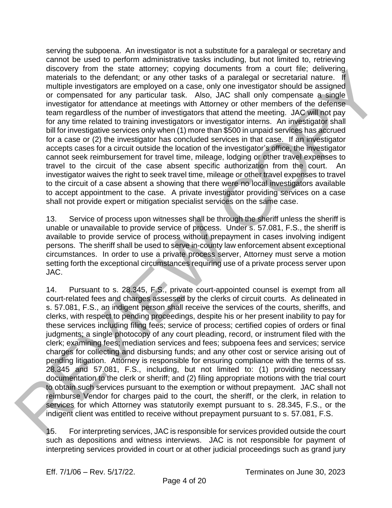serving the subpoena. An investigator is not a substitute for a paralegal or secretary and cannot be used to perform administrative tasks including, but not limited to, retrieving discovery from the state attorney; copying documents from a court file; delivering materials to the defendant; or any other tasks of a paralegal or secretarial nature. If multiple investigators are employed on a case, only one investigator should be assigned or compensated for any particular task. Also, JAC shall only compensate a single investigator for attendance at meetings with Attorney or other members of the defense team regardless of the number of investigators that attend the meeting. JAC will not pay for any time related to training investigators or investigator interns. An investigator shall bill for investigative services only when (1) more than \$500 in unpaid services has accrued for a case or (2) the investigator has concluded services in that case. If an investigator accepts cases for a circuit outside the location of the investigator's office, the investigator cannot seek reimbursement for travel time, mileage, lodging or other travel expenses to travel to the circuit of the case absent specific authorization from the court. An investigator waives the right to seek travel time, mileage or other travel expenses to travel to the circuit of a case absent a showing that there were no local investigators available to accept appointment to the case. A private investigator providing services on a case shall not provide expert or mitigation specialist services on the same case. encode the external and only of operation and a court into centern and a material control in the centern and a court into centern and a court into the centern and a court of the membersion and a court of the membersion and

13. Service of process upon witnesses shall be through the sheriff unless the sheriff is unable or unavailable to provide service of process. Under s. 57.081, F.S., the sheriff is available to provide service of process without prepayment in cases involving indigent persons. The sheriff shall be used to serve in-county law enforcement absent exceptional circumstances. In order to use a private process server, Attorney must serve a motion setting forth the exceptional circumstances requiring use of a private process server upon JAC.

14. Pursuant to s. 28.345, F.S., private court-appointed counsel is exempt from all court-related fees and charges assessed by the clerks of circuit courts. As delineated in s. 57.081, F.S., an indigent person shall receive the services of the courts, sheriffs, and clerks, with respect to pending proceedings, despite his or her present inability to pay for these services including filing fees; service of process; certified copies of orders or final judgments; a single photocopy of any court pleading, record, or instrument filed with the clerk; examining fees; mediation services and fees; subpoena fees and services; service charges for collecting and disbursing funds; and any other cost or service arising out of pending litigation. Attorney is responsible for ensuring compliance with the terms of ss. 28.345 and 57.081, F.S., including, but not limited to: (1) providing necessary documentation to the clerk or sheriff; and (2) filing appropriate motions with the trial court to obtain such services pursuant to the exemption or without prepayment. JAC shall not reimburse Vendor for charges paid to the court, the sheriff, or the clerk, in relation to services for which Attorney was statutorily exempt pursuant to s. 28.345, F.S., or the indigent client was entitled to receive without prepayment pursuant to s. 57.081, F.S.

15. For interpreting services, JAC is responsible for services provided outside the court such as depositions and witness interviews. JAC is not responsible for payment of interpreting services provided in court or at other judicial proceedings such as grand jury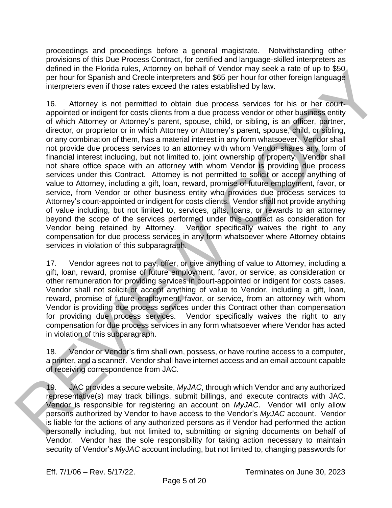proceedings and proceedings before a general magistrate. Notwithstanding other provisions of this Due Process Contract, for certified and language-skilled interpreters as defined in the Florida rules, Attorney on behalf of Vendor may seek a rate of up to \$50 per hour for Spanish and Creole interpreters and \$65 per hour for other foreign language interpreters even if those rates exceed the rates established by law.

16. Attorney is not permitted to obtain due process services for his or her courtappointed or indigent for costs clients from a due process vendor or other business entity of which Attorney or Attorney's parent, spouse, child, or sibling, is an officer, partner, director, or proprietor or in which Attorney or Attorney's parent, spouse, child, or sibling, or any combination of them, has a material interest in any form whatsoever. Vendor shall not provide due process services to an attorney with whom Vendor shares any form of financial interest including, but not limited to, joint ownership of property. Vendor shall not share office space with an attorney with whom Vendor is providing due process services under this Contract. Attorney is not permitted to solicit or accept anything of value to Attorney, including a gift, loan, reward, promise of future employment, favor, or service, from Vendor or other business entity who provides due process services to Attorney's court-appointed or indigent for costs clients. Vendor shall not provide anything of value including, but not limited to, services, gifts, loans, or rewards to an attorney beyond the scope of the services performed under this contract as consideration for Vendor being retained by Attorney. Vendor specifically waives the right to any compensation for due process services in any form whatsoever where Attorney obtains services in violation of this subparagraph. entre in the Floriona tales, Momey on benefit of vendor may been a rate of up<br>for the florion and Choolin incrpduors and 366 por hour for other foreign language<br>interpretation of those ratiss axcels the ratiss calculation

17. Vendor agrees not to pay, offer, or give anything of value to Attorney, including a gift, loan, reward, promise of future employment, favor, or service, as consideration or other remuneration for providing services in court-appointed or indigent for costs cases. Vendor shall not solicit or accept anything of value to Vendor, including a gift, loan, reward, promise of future employment, favor, or service, from an attorney with whom Vendor is providing due process services under this Contract other than compensation for providing due process services. Vendor specifically waives the right to any compensation for due process services in any form whatsoever where Vendor has acted in violation of this subparagraph.

18. Vendor or Vendor's firm shall own, possess, or have routine access to a computer, a printer, and a scanner. Vendor shall have internet access and an email account capable of receiving correspondence from JAC.

19. JAC provides a secure website, *MyJAC*, through which Vendor and any authorized representative(s) may track billings, submit billings, and execute contracts with JAC. Vendor is responsible for registering an account on *MyJAC*. Vendor will only allow persons authorized by Vendor to have access to the Vendor's *MyJAC* account. Vendor is liable for the actions of any authorized persons as if Vendor had performed the action personally including, but not limited to, submitting or signing documents on behalf of Vendor. Vendor has the sole responsibility for taking action necessary to maintain security of Vendor's *MyJAC* account including, but not limited to, changing passwords for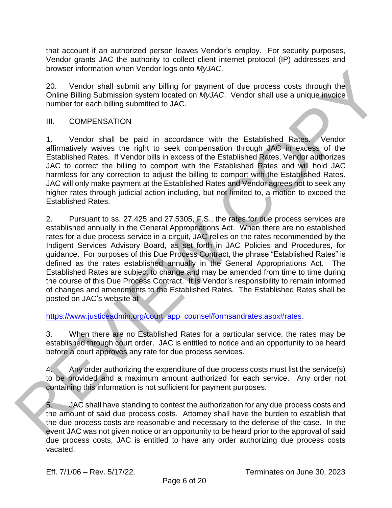that account if an authorized person leaves Vendor's employ. For security purposes, Vendor grants JAC the authority to collect client internet protocol (IP) addresses and browser information when Vendor logs onto *MyJAC*.

20. Vendor shall submit any billing for payment of due process costs through the Online Billing Submission system located on *MyJAC*. Vendor shall use a unique invoice number for each billing submitted to JAC.

#### III. COMPENSATION

1. Vendor shall be paid in accordance with the Established Rates. Vendor affirmatively waives the right to seek compensation through JAC in excess of the Established Rates. If Vendor bills in excess of the Established Rates, Vendor authorizes JAC to correct the billing to comport with the Established Rates and will hold JAC harmless for any correction to adjust the billing to comport with the Established Rates. JAC will only make payment at the Established Rates and Vendor agrees not to seek any higher rates through judicial action including, but not limited to, a motion to exceed the Established Rates.

2. Pursuant to ss. 27.425 and 27.5305, F.S., the rates for due process services are established annually in the General Appropriations Act. When there are no established rates for a due process service in a circuit, JAC relies on the rates recommended by the Indigent Services Advisory Board, as set forth in JAC Policies and Procedures, for guidance. For purposes of this Due Process Contract, the phrase "Established Rates" is defined as the rates established annually in the General Appropriations Act. The Established Rates are subject to change and may be amended from time to time during the course of this Due Process Contract. It is Vendor's responsibility to remain informed of changes and amendments to the Established Rates. The Established Rates shall be posted on JAC's website at orower information window the version of the process costs through the<br>
20. Vonder shall submiliany billing to payment of due process costs through the<br>
Online Billing Submission system located on MyJAC. Vendor shall use

https://www.justiceadmin.org/court\_app\_counsel/formsandrates.aspx#rates.

3. When there are no Established Rates for a particular service, the rates may be established through court order. JAC is entitled to notice and an opportunity to be heard before a court approves any rate for due process services.

4. Any order authorizing the expenditure of due process costs must list the service(s) to be provided and a maximum amount authorized for each service. Any order not containing this information is not sufficient for payment purposes.

5. JAC shall have standing to contest the authorization for any due process costs and the amount of said due process costs. Attorney shall have the burden to establish that the due process costs are reasonable and necessary to the defense of the case. In the event JAC was not given notice or an opportunity to be heard prior to the approval of said due process costs, JAC is entitled to have any order authorizing due process costs vacated.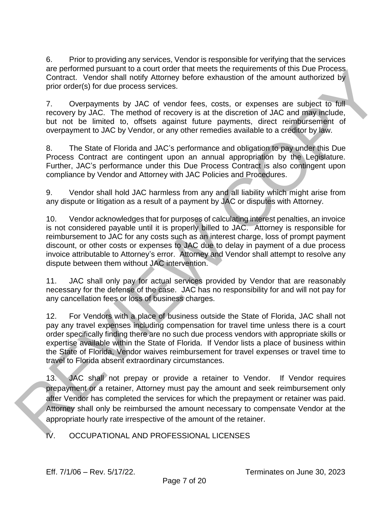6. Prior to providing any services, Vendor is responsible for verifying that the services are performed pursuant to a court order that meets the requirements of this Due Process Contract. Vendor shall notify Attorney before exhaustion of the amount authorized by prior order(s) for due process services.

7. Overpayments by JAC of vendor fees, costs, or expenses are subject to full recovery by JAC. The method of recovery is at the discretion of JAC and may include, but not be limited to, offsets against future payments, direct reimbursement of overpayment to JAC by Vendor, or any other remedies available to a creditor by law.

8. The State of Florida and JAC's performance and obligation to pay under this Due Process Contract are contingent upon an annual appropriation by the Legislature. Further, JAC's performance under this Due Process Contract is also contingent upon compliance by Vendor and Attorney with JAC Policies and Procedures.

9. Vendor shall hold JAC harmless from any and all liability which might arise from any dispute or litigation as a result of a payment by JAC or disputes with Attorney.

10. Vendor acknowledges that for purposes of calculating interest penalties, an invoice is not considered payable until it is properly billed to JAC. Attorney is responsible for reimbursement to JAC for any costs such as an interest charge, loss of prompt payment discount, or other costs or expenses to JAC due to delay in payment of a due process invoice attributable to Attorney's error. Attorney and Vendor shall attempt to resolve any dispute between them without JAC intervention.

11. JAC shall only pay for actual services provided by Vendor that are reasonably necessary for the defense of the case. JAC has no responsibility for and will not pay for any cancellation fees or loss of business charges.

12. For Vendors with a place of business outside the State of Florida, JAC shall not pay any travel expenses including compensation for travel time unless there is a court order specifically finding there are no such due process vendors with appropriate skills or expertise available within the State of Florida. If Vendor lists a place of business within the State of Florida, Vendor waives reimbursement for travel expenses or travel time to travel to Florida absent extraordinary circumstances. are performed putstant to a count order that meets the requirements of this Use Process<br>Contract. Vondor shall notify Altomoy bolons oxhaustion of the amount authorized by<br>plane of the process savives.<br>The contract of the

13. JAC shall not prepay or provide a retainer to Vendor. If Vendor requires prepayment or a retainer, Attorney must pay the amount and seek reimbursement only after Vendor has completed the services for which the prepayment or retainer was paid. Attorney shall only be reimbursed the amount necessary to compensate Vendor at the appropriate hourly rate irrespective of the amount of the retainer.

IV. OCCUPATIONAL AND PROFESSIONAL LICENSES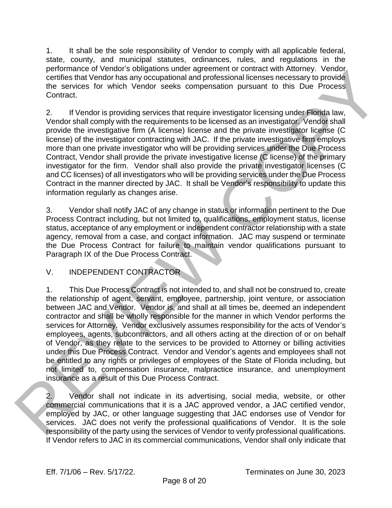1. It shall be the sole responsibility of Vendor to comply with all applicable federal, state, county, and municipal statutes, ordinances, rules, and regulations in the performance of Vendor's obligations under agreement or contract with Attorney. Vendor certifies that Vendor has any occupational and professional licenses necessary to provide the services for which Vendor seeks compensation pursuant to this Due Process Contract.

2. If Vendor is providing services that require investigator licensing under Florida law, Vendor shall comply with the requirements to be licensed as an investigator. Vendor shall provide the investigative firm (A license) license and the private investigator license (C license) of the investigator contracting with JAC. If the private investigative firm employs more than one private investigator who will be providing services under the Due Process Contract, Vendor shall provide the private investigative license (C license) of the primary investigator for the firm. Vendor shall also provide the private investigator licenses (C and CC licenses) of all investigators who will be providing services under the Due Process Contract in the manner directed by JAC. It shall be Vendor's responsibility to update this information regularly as changes arise.

3. Vendor shall notify JAC of any change in status or information pertinent to the Due Process Contract including, but not limited to, qualifications, employment status, license status, acceptance of any employment or independent contractor relationship with a state agency, removal from a case, and contact information. JAC may suspend or terminate the Due Process Contract for failure to maintain vendor qualifications pursuant to Paragraph IX of the Due Process Contract.

## V. INDEPENDENT CONTRACTOR

1. This Due Process Contract is not intended to, and shall not be construed to, create the relationship of agent, servant, employee, partnership, joint venture, or association between JAC and Vendor. Vendor is, and shall at all times be, deemed an independent contractor and shall be wholly responsible for the manner in which Vendor performs the services for Attorney. Vendor exclusively assumes responsibility for the acts of Vendor's employees, agents, subcontractors, and all others acting at the direction of or on behalf of Vendor, as they relate to the services to be provided to Attorney or billing activities under this Due Process Contract. Vendor and Vendor's agents and employees shall not be entitled to any rights or privileges of employees of the State of Florida including, but not limited to, compensation insurance, malpractice insurance, and unemployment insurance as a result of this Due Process Contract. responsible that variable and occupations under a consistent of contract with Attorney. Vendor is the services for which Vandar selects ompensation pursuant to this Due Process to Centret.<br>
2. If Vandar is sponsible party

2. Vendor shall not indicate in its advertising, social media, website, or other commercial communications that it is a JAC approved vendor, a JAC certified vendor, employed by JAC, or other language suggesting that JAC endorses use of Vendor for services. JAC does not verify the professional qualifications of Vendor. It is the sole If Vendor refers to JAC in its commercial communications, Vendor shall only indicate that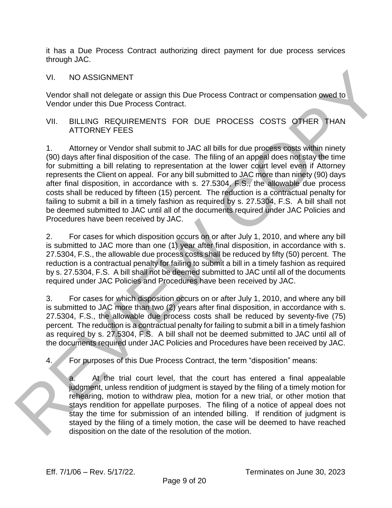it has a Due Process Contract authorizing direct payment for due process services through JAC.

VI. NO ASSIGNMENT

Vendor shall not delegate or assign this Due Process Contract or compensation owed to Vendor under this Due Process Contract.

#### VII. BILLING REQUIREMENTS FOR DUE PROCESS COSTS OTHER THAN ATTORNEY FEES

1. Attorney or Vendor shall submit to JAC all bills for due process costs within ninety (90) days after final disposition of the case. The filing of an appeal does not stay the time for submitting a bill relating to representation at the lower court level even if Attorney represents the Client on appeal. For any bill submitted to JAC more than ninety (90) days after final disposition, in accordance with s. 27.5304, F.S., the allowable due process costs shall be reduced by fifteen (15) percent. The reduction is a contractual penalty for failing to submit a bill in a timely fashion as required by s. 27.5304, F.S. A bill shall not be deemed submitted to JAC until all of the documents required under JAC Policies and Procedures have been received by JAC. VI. NO ASSIGNMENT<br>
Vendor shall not delegate or assign this Due Process Contract or compensation axeed to<br>
Vendor shall not delegate or assign this Due Process Contract<br>
Vi. Bill LING REGUIREMENTS FOR DUE PROCESS COSTS OT

2. For cases for which disposition occurs on or after July 1, 2010, and where any bill is submitted to JAC more than one (1) year after final disposition, in accordance with s. 27.5304, F.S., the allowable due process costs shall be reduced by fifty (50) percent. The reduction is a contractual penalty for failing to submit a bill in a timely fashion as required by s. 27.5304, F.S. A bill shall not be deemed submitted to JAC until all of the documents required under JAC Policies and Procedures have been received by JAC.

3. For cases for which disposition occurs on or after July 1, 2010, and where any bill is submitted to JAC more than two (2) years after final disposition, in accordance with s. 27.5304, F.S., the allowable due process costs shall be reduced by seventy-five (75) percent. The reduction is a contractual penalty for failing to submit a bill in a timely fashion as required by s. 27.5304, F.S. A bill shall not be deemed submitted to JAC until all of the documents required under JAC Policies and Procedures have been received by JAC.

For purposes of this Due Process Contract, the term "disposition" means:

a. At the trial court level, that the court has entered a final appealable judgment, unless rendition of judgment is stayed by the filing of a timely motion for rehearing, motion to withdraw plea, motion for a new trial, or other motion that stays rendition for appellate purposes. The filing of a notice of appeal does not stay the time for submission of an intended billing. If rendition of judgment is stayed by the filing of a timely motion, the case will be deemed to have reached disposition on the date of the resolution of the motion.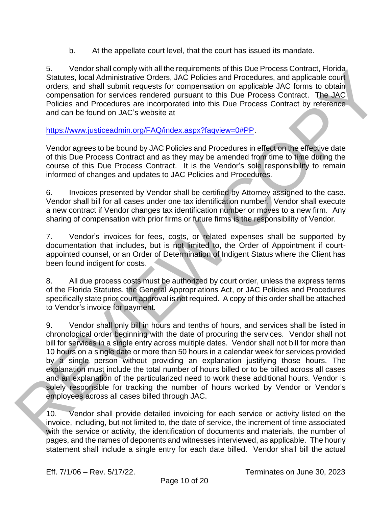b. At the appellate court level, that the court has issued its mandate.

5. Vendor shall comply with all the requirements of this Due Process Contract, Florida Statutes, local Administrative Orders, JAC Policies and Procedures, and applicable court orders, and shall submit requests for compensation on applicable JAC forms to obtain compensation for services rendered pursuant to this Due Process Contract. The JAC Policies and Procedures are incorporated into this Due Process Contract by reference and can be found on JAC's website at

https://www.justiceadmin.org/FAQ/index.aspx?faqview=0#PP.

Vendor agrees to be bound by JAC Policies and Procedures in effect on the effective date of this Due Process Contract and as they may be amended from time to time during the course of this Due Process Contract. It is the Vendor's sole responsibility to remain informed of changes and updates to JAC Policies and Procedures.

6. Invoices presented by Vendor shall be certified by Attorney assigned to the case. Vendor shall bill for all cases under one tax identification number. Vendor shall execute a new contract if Vendor changes tax identification number or moves to a new firm. Any sharing of compensation with prior firms or future firms is the responsibility of Vendor.

7. Vendor's invoices for fees, costs, or related expenses shall be supported by documentation that includes, but is not limited to, the Order of Appointment if courtappointed counsel, or an Order of Determination of Indigent Status where the Client has been found indigent for costs.

8. All due process costs must be authorized by court order, unless the express terms of the Florida Statutes, the General Appropriations Act, or JAC Policies and Procedures specifically state prior court approval is not required. A copy of this order shall be attached to Vendor's invoice for payment.

9. Vendor shall only bill in hours and tenths of hours, and services shall be listed in chronological order beginning with the date of procuring the services. Vendor shall not bill for services in a single entry across multiple dates. Vendor shall not bill for more than 10 hours on a single date or more than 50 hours in a calendar week for services provided by a single person without providing an explanation justifying those hours. The explanation must include the total number of hours billed or to be billed across all cases and an explanation of the particularized need to work these additional hours. Vendor is solely responsible for tracking the number of hours worked by Vendor or Vendor's employees across all cases billed through JAC. s. Vendor stati complete when all the hequinements of this Use Process contract, Pindor<br>Statiuse, local Administrative [O](https://www.justiceadmin.org/FAQ/index.aspx?faqview=0#PP)rders, JAC Policies and Procedures, and applicable court<br>crides, and all administrative Orders, JAC P

10. Vendor shall provide detailed invoicing for each service or activity listed on the invoice, including, but not limited to, the date of service, the increment of time associated with the service or activity, the identification of documents and materials, the number of pages, and the names of deponents and witnesses interviewed, as applicable. The hourly statement shall include a single entry for each date billed. Vendor shall bill the actual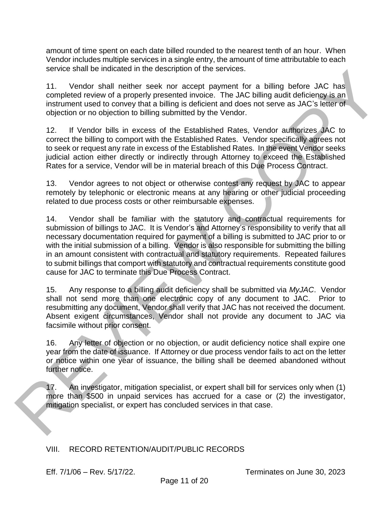amount of time spent on each date billed rounded to the nearest tenth of an hour. When Vendor includes multiple services in a single entry, the amount of time attributable to each service shall be indicated in the description of the services.

11. Vendor shall neither seek nor accept payment for a billing before JAC has completed review of a properly presented invoice. The JAC billing audit deficiency is an instrument used to convey that a billing is deficient and does not serve as JAC's letter of objection or no objection to billing submitted by the Vendor.

12. If Vendor bills in excess of the Established Rates, Vendor authorizes JAC to correct the billing to comport with the Established Rates. Vendor specifically agrees not to seek or request any rate in excess of the Established Rates. In the event Vendor seeks judicial action either directly or indirectly through Attorney to exceed the Established Rates for a service, Vendor will be in material breach of this Due Process Contract.

13. Vendor agrees to not object or otherwise contest any request by JAC to appear remotely by telephonic or electronic means at any hearing or other judicial proceeding related to due process costs or other reimbursable expenses.

14. Vendor shall be familiar with the statutory and contractual requirements for submission of billings to JAC. It is Vendor's and Attorney's responsibility to verify that all necessary documentation required for payment of a billing is submitted to JAC prior to or with the initial submission of a billing. Vendor is also responsible for submitting the billing in an amount consistent with contractual and statutory requirements. Repeated failures to submit billings that comport with statutory and contractual requirements constitute good cause for JAC to terminate this Due Process Contract. structure shall neitheast in the establish of the services of the service state in the service of the method of the method in the method of the method of the method in the method of the method in the method of the method o

15. Any response to a billing audit deficiency shall be submitted via *MyJAC*. Vendor shall not send more than one electronic copy of any document to JAC. Prior to resubmitting any document, Vendor shall verify that JAC has not received the document. Absent exigent circumstances, Vendor shall not provide any document to JAC via facsimile without prior consent.

16. Any letter of objection or no objection, or audit deficiency notice shall expire one year from the date of issuance. If Attorney or due process vendor fails to act on the letter or notice within one year of issuance, the billing shall be deemed abandoned without further notice.

17. An investigator, mitigation specialist, or expert shall bill for services only when (1) more than \$500 in unpaid services has accrued for a case or (2) the investigator, mitigation specialist, or expert has concluded services in that case.

## VIII. RECORD RETENTION/AUDIT/PUBLIC RECORDS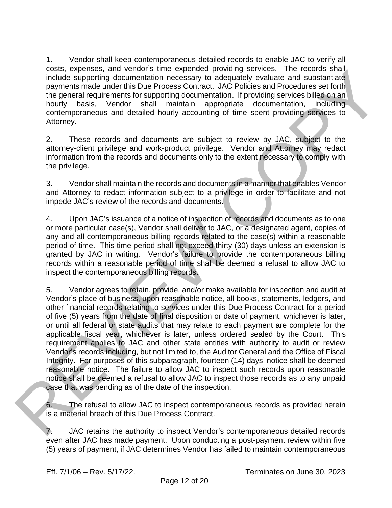1. Vendor shall keep contemporaneous detailed records to enable JAC to verify all costs, expenses, and vendor's time expended providing services. The records shall include supporting documentation necessary to adequately evaluate and substantiate payments made under this Due Process Contract. JAC Policies and Procedures set forth the general requirements for supporting documentation. If providing services billed on an hourly basis, Vendor shall maintain appropriate documentation, including contemporaneous and detailed hourly accounting of time spent providing services to Attorney.

2. These records and documents are subject to review by JAC, subject to the attorney-client privilege and work-product privilege. Vendor and Attorney may redact information from the records and documents only to the extent necessary to comply with the privilege.

3. Vendor shall maintain the records and documents in a manner that enables Vendor and Attorney to redact information subject to a privilege in order to facilitate and not impede JAC's review of the records and documents.

4. Upon JAC's issuance of a notice of inspection of records and documents as to one or more particular case(s), Vendor shall deliver to JAC, or a designated agent, copies of any and all contemporaneous billing records related to the case(s) within a reasonable period of time. This time period shall not exceed thirty (30) days unless an extension is granted by JAC in writing. Vendor's failure to provide the contemporaneous billing records within a reasonable period of time shall be deemed a refusal to allow JAC to inspect the contemporaneous billing records.

5. Vendor agrees to retain, provide, and/or make available for inspection and audit at Vendor's place of business, upon reasonable notice, all books, statements, ledgers, and other financial records relating to services under this Due Process Contract for a period of five (5) years from the date of final disposition or date of payment, whichever is later, or until all federal or state audits that may relate to each payment are complete for the applicable fiscal year, whichever is later, unless ordered sealed by the Court. This requirement applies to JAC and other state entities with authority to audit or review Vendor's records including, but not limited to, the Auditor General and the Office of Fiscal Integrity. For purposes of this subparagraph, fourteen (14) days' notice shall be deemed reasonable notice. The failure to allow JAC to inspect such records upon reasonable notice shall be deemed a refusal to allow JAC to inspect those records as to any unpaid case that was pending as of the date of the inspection. oaste, screenses, and one enter expenses providing terms of the records state.<br>
Include supporting documentation necessary to adequately oveluate and substantiate<br>
playmetics made under this Due Process Covitate. HAC Nelso

6. The refusal to allow JAC to inspect contemporaneous records as provided herein is a material breach of this Due Process Contract.

7. JAC retains the authority to inspect Vendor's contemporaneous detailed records even after JAC has made payment. Upon conducting a post-payment review within five (5) years of payment, if JAC determines Vendor has failed to maintain contemporaneous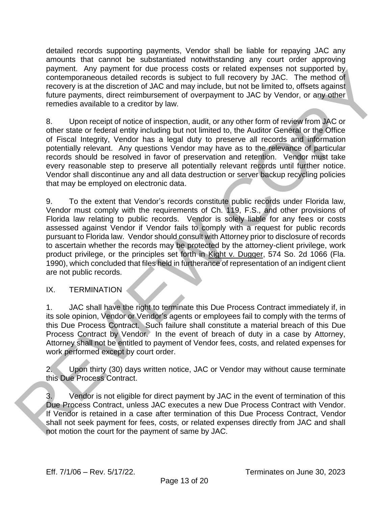detailed records supporting payments, Vendor shall be liable for repaying JAC any amounts that cannot be substantiated notwithstanding any court order approving payment. Any payment for due process costs or related expenses not supported by contemporaneous detailed records is subject to full recovery by JAC. The method of recovery is at the discretion of JAC and may include, but not be limited to, offsets against future payments, direct reimbursement of overpayment to JAC by Vendor, or any other remedies available to a creditor by law.

8. Upon receipt of notice of inspection, audit, or any other form of review from JAC or other state or federal entity including but not limited to, the Auditor General or the Office of Fiscal Integrity, Vendor has a legal duty to preserve all records and information potentially relevant. Any questions Vendor may have as to the relevance of particular records should be resolved in favor of preservation and retention. Vendor must take every reasonable step to preserve all potentially relevant records until further notice. Vendor shall discontinue any and all data destruction or server backup recycling policies that may be employed on electronic data.

9. To the extent that Vendor's records constitute public records under Florida law, Vendor must comply with the requirements of Ch. 119, F.S., and other provisions of Florida law relating to public records. Vendor is solely liable for any fees or costs assessed against Vendor if Vendor fails to comply with a request for public records pursuant to Florida law. Vendor should consult with Attorney prior to disclosure of records to ascertain whether the records may be protected by the attorney-client privilege, work product privilege, or the principles set forth in Kight v. Dugger, 574 So. 2d 1066 (Fla. 1990), which concluded that files held in furtherance of representation of an indigent client are not public records. payment way meant of oue process costs or feature a payment of the mission of supported by a state of the mission of the mission of the mission of the mission of the mission of the mission of the mission of the mission of

#### IX. TERMINATION

1. JAC shall have the right to terminate this Due Process Contract immediately if, in its sole opinion, Vendor or Vendor's agents or employees fail to comply with the terms of this Due Process Contract. Such failure shall constitute a material breach of this Due Process Contract by Vendor. In the event of breach of duty in a case by Attorney, Attorney shall not be entitled to payment of Vendor fees, costs, and related expenses for work performed except by court order.

2. Upon thirty (30) days written notice, JAC or Vendor may without cause terminate this Due Process Contract.

3. Vendor is not eligible for direct payment by JAC in the event of termination of this Due Process Contract, unless JAC executes a new Due Process Contract with Vendor. If Vendor is retained in a case after termination of this Due Process Contract, Vendor shall not seek payment for fees, costs, or related expenses directly from JAC and shall not motion the court for the payment of same by JAC.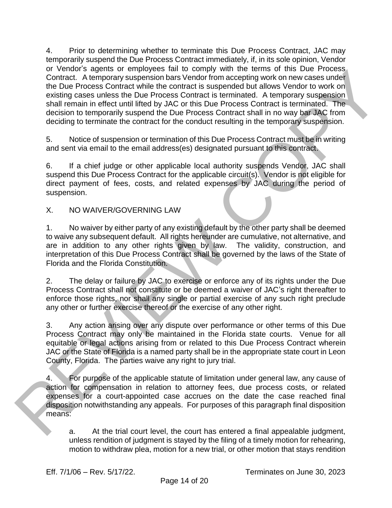4. Prior to determining whether to terminate this Due Process Contract, JAC may temporarily suspend the Due Process Contract immediately, if, in its sole opinion, Vendor or Vendor's agents or employees fail to comply with the terms of this Due Process Contract. A temporary suspension bars Vendor from accepting work on new cases under the Due Process Contract while the contract is suspended but allows Vendor to work on existing cases unless the Due Process Contract is terminated. A temporary suspension shall remain in effect until lifted by JAC or this Due Process Contract is terminated. The decision to temporarily suspend the Due Process Contract shall in no way bar JAC from deciding to terminate the contract for the conduct resulting in the temporary suspension. or vendor a separa or reminder to make the comply win the terms on that bue Process contact<br>and the process contact mean of the control from accepting work on new cases under<br>the bue Process contact the low points and the

5. Notice of suspension or termination of this Due Process Contract must be in writing and sent via email to the email address(es) designated pursuant to this contract.

6. If a chief judge or other applicable local authority suspends Vendor, JAC shall suspend this Due Process Contract for the applicable circuit(s). Vendor is not eligible for direct payment of fees, costs, and related expenses by JAC during the period of suspension.

X. NO WAIVER/GOVERNING LAW

1. No waiver by either party of any existing default by the other party shall be deemed to waive any subsequent default. All rights hereunder are cumulative, not alternative, and are in addition to any other rights given by law. The validity, construction, and interpretation of this Due Process Contract shall be governed by the laws of the State of Florida and the Florida Constitution.

2. The delay or failure by JAC to exercise or enforce any of its rights under the Due Process Contract shall not constitute or be deemed a waiver of JAC's right thereafter to enforce those rights, nor shall any single or partial exercise of any such right preclude any other or further exercise thereof or the exercise of any other right.

3. Any action arising over any dispute over performance or other terms of this Due Process Contract may only be maintained in the Florida state courts. Venue for all equitable or legal actions arising from or related to this Due Process Contract wherein JAC or the State of Florida is a named party shall be in the appropriate state court in Leon County, Florida. The parties waive any right to jury trial.

4. For purpose of the applicable statute of limitation under general law, any cause of action for compensation in relation to attorney fees, due process costs, or related expenses for a court-appointed case accrues on the date the case reached final disposition notwithstanding any appeals. For purposes of this paragraph final disposition means:

a. At the trial court level, the court has entered a final appealable judgment, unless rendition of judgment is stayed by the filing of a timely motion for rehearing, motion to withdraw plea, motion for a new trial, or other motion that stays rendition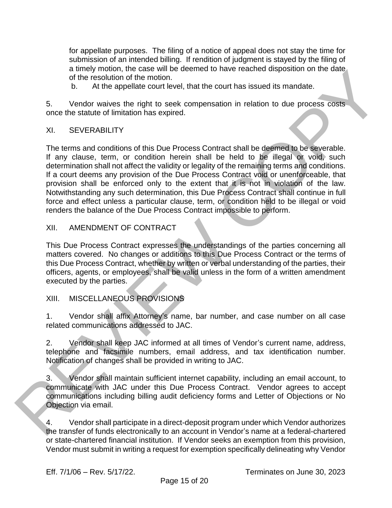for appellate purposes. The filing of a notice of appeal does not stay the time for submission of an intended billing. If rendition of judgment is stayed by the filing of a timely motion, the case will be deemed to have reached disposition on the date of the resolution of the motion.

b. At the appellate court level, that the court has issued its mandate.

5. Vendor waives the right to seek compensation in relation to due process costs once the statute of limitation has expired.

#### XI. SEVERABILITY

The terms and conditions of this Due Process Contract shall be deemed to be severable. If any clause, term, or condition herein shall be held to be illegal or void, such determination shall not affect the validity or legality of the remaining terms and conditions. If a court deems any provision of the Due Process Contract void or unenforceable, that provision shall be enforced only to the extent that it is not in violation of the law. Notwithstanding any such determination, this Due Process Contract shall continue in full force and effect unless a particular clause, term, or condition held to be illegal or void renders the balance of the Due Process Contract impossible to perform. a time by mothom. the case will be deemed to have reached also<br>position of the application of the motion.<br>
2. Although a court level, that the court has its and its mandate.<br>
5. Vendor waives the right to seek compensation

#### XII. AMENDMENT OF CONTRACT

This Due Process Contract expresses the understandings of the parties concerning all matters covered. No changes or additions to this Due Process Contract or the terms of this Due Process Contract, whether by written or verbal understanding of the parties, their officers, agents, or employees, shall be valid unless in the form of a written amendment executed by the parties.

#### XIII. MISCELLANEOUS PROVISIONS

1. Vendor shall affix Attorney's name, bar number, and case number on all case related communications addressed to JAC.

2. Vendor shall keep JAC informed at all times of Vendor's current name, address, telephone and facsimile numbers, email address, and tax identification number. Notification of changes shall be provided in writing to JAC.

3. Vendor shall maintain sufficient internet capability, including an email account, to communicate with JAC under this Due Process Contract. Vendor agrees to accept communications including billing audit deficiency forms and Letter of Objections or No Objection via email.

4. Vendor shall participate in a direct-deposit program under which Vendor authorizes the transfer of funds electronically to an account in Vendor's name at a federal-chartered or state-chartered financial institution. If Vendor seeks an exemption from this provision, Vendor must submit in writing a request for exemption specifically delineating why Vendor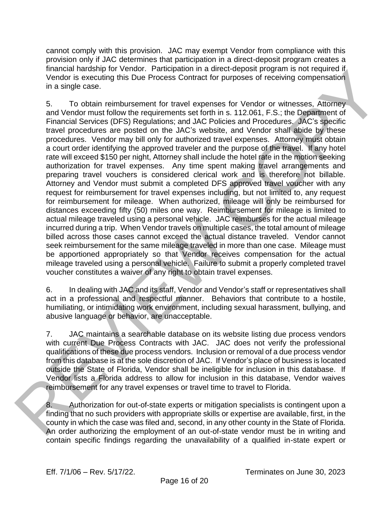cannot comply with this provision. JAC may exempt Vendor from compliance with this provision only if JAC determines that participation in a direct-deposit program creates a financial hardship for Vendor. Participation in a direct-deposit program is not required if Vendor is executing this Due Process Contract for purposes of receiving compensation in a single case.

5. To obtain reimbursement for travel expenses for Vendor or witnesses, Attorney and Vendor must follow the requirements set forth in s. 112.061, F.S.; the Department of Financial Services (DFS) Regulations; and JAC Policies and Procedures. JAC's specific travel procedures are posted on the JAC's website, and Vendor shall abide by these procedures. Vendor may bill only for authorized travel expenses. Attorney must obtain a court order identifying the approved traveler and the purpose of the travel. If any hotel rate will exceed \$150 per night, Attorney shall include the hotel rate in the motion seeking authorization for travel expenses. Any time spent making travel arrangements and preparing travel vouchers is considered clerical work and is therefore not billable. Attorney and Vendor must submit a completed DFS approved travel voucher with any request for reimbursement for travel expenses including, but not limited to, any request for reimbursement for mileage. When authorized, mileage will only be reimbursed for distances exceeding fifty (50) miles one way. Reimbursement for mileage is limited to actual mileage traveled using a personal vehicle. JAC reimburses for the actual mileage incurred during a trip. When Vendor travels on multiple cases, the total amount of mileage billed across those cases cannot exceed the actual distance traveled. Vendor cannot seek reimbursement for the same mileage traveled in more than one case. Mileage must be apportioned appropriately so that Vendor receives compensation for the actual mileage traveled using a personal vehicle. Failure to submit a properly completed travel voucher constitutes a waiver of any right to obtain travel expenses. threation for the osteroid in the content participation in a direct-deposite forgating in the relation of the same of the content in the same of the same of the same of the same of the same of the same of the same of the s

6. In dealing with JAC and its staff, Vendor and Vendor's staff or representatives shall act in a professional and respectful manner. Behaviors that contribute to a hostile, humiliating, or intimidating work environment, including sexual harassment, bullying, and abusive language or behavior, are unacceptable.

7. JAC maintains a searchable database on its website listing due process vendors with current Due Process Contracts with JAC. JAC does not verify the professional qualifications of these due process vendors. Inclusion or removal of a due process vendor from this database is at the sole discretion of JAC. If Vendor's place of business is located outside the State of Florida, Vendor shall be ineligible for inclusion in this database. If Vendor lists a Florida address to allow for inclusion in this database, Vendor waives reimbursement for any travel expenses or travel time to travel to Florida.

8. Authorization for out-of-state experts or mitigation specialists is contingent upon a finding that no such providers with appropriate skills or expertise are available, first, in the county in which the case was filed and, second, in any other county in the State of Florida. An order authorizing the employment of an out-of-state vendor must be in writing and contain specific findings regarding the unavailability of a qualified in-state expert or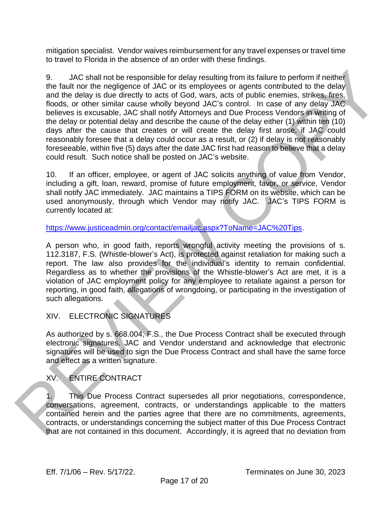mitigation specialist. Vendor waives reimbursement for any travel expenses or travel time to travel to Florida in the absence of an order with these findings.

9. JAC shall not be responsible for delay resulting from its failure to perform if neither the fault nor the negligence of JAC or its employees or agents contributed to the delay and the delay is due directly to acts of God, wars, acts of public enemies, strikes, fires, floods, or other similar cause wholly beyond JAC's control. In case of any delay JAC believes is excusable, JAC shall notify Attorneys and Due Process Vendors in writing of the delay or potential delay and describe the cause of the delay either (1) within ten (10) days after the cause that creates or will create the delay first arose, if JAC could reasonably foresee that a delay could occur as a result, or (2) if delay is not reasonably foreseeable, within five (5) days after the date JAC first had reason to believe that a delay could result. Such notice shall be posted on JAC's website. 9. JA[C](https://www.justiceadmin.org/contact/emailjac.aspx?ToName=JAC%20Tips) shall not be responsible for delay resulting from its failure to perform if neither<br>
the full networb negligement of such of the mphysiss are agents continuous different different<br>
and the full networb is contained

10. If an officer, employee, or agent of JAC solicits anything of value from Vendor, including a gift, loan, reward, promise of future employment, favor, or service, Vendor shall notify JAC immediately. JAC maintains a TIPS FORM on its website, which can be used anonymously, through which Vendor may notify JAC. JAC's TIPS FORM is currently located at:

https://www.justiceadmin.org/contact/emailjac.aspx?ToName=JAC%20Tips.

A person who, in good faith, reports wrongful activity meeting the provisions of s. 112.3187, F.S. (Whistle-blower's Act), is protected against retaliation for making such a report. The law also provides for the individual's identity to remain confidential. Regardless as to whether the provisions of the Whistle-blower's Act are met, it is a violation of JAC employment policy for any employee to retaliate against a person for reporting, in good faith, allegations of wrongdoing, or participating in the investigation of such allegations.

## XIV. ELECTRONIC SIGNATURES

As authorized by s. 668.004, F.S., the Due Process Contract shall be executed through electronic signatures. JAC and Vendor understand and acknowledge that electronic signatures will be used to sign the Due Process Contract and shall have the same force and effect as a written signature.

## XV. ENTIRE CONTRACT

1. This Due Process Contract supersedes all prior negotiations, correspondence, conversations, agreement, contracts, or understandings applicable to the matters contained herein and the parties agree that there are no commitments, agreements, contracts, or understandings concerning the subject matter of this Due Process Contract that are not contained in this document. Accordingly, it is agreed that no deviation from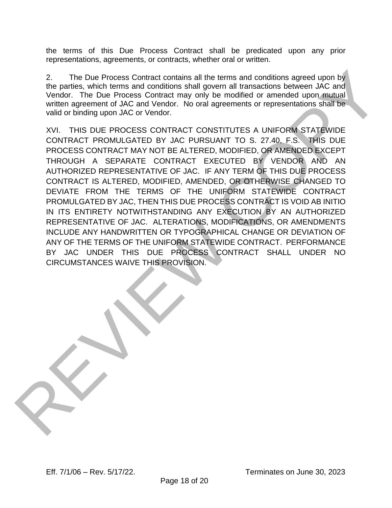the terms of this Due Process Contract shall be predicated upon any prior representations, agreements, or contracts, whether oral or written.

2. The Due Process Contract contains all the terms and conditions agreed upon by the parties, which terms and conditions shall govern all transactions between JAC and Vendor. The Due Process Contract may only be modified or amended upon mutual written agreement of JAC and Vendor. No oral agreements or representations shall be valid or binding upon JAC or Vendor.

XVI. THIS DUE PROCESS CONTRACT CONSTITUTES A UNIFORM STATEWIDE CONTRACT PROMULGATED BY JAC PURSUANT TO S. 27.40, F.S. THIS DUE PROCESS CONTRACT MAY NOT BE ALTERED, MODIFIED, OR AMENDED EXCEPT THROUGH A SEPARATE CONTRACT EXECUTED BY VENDOR AND AN AUTHORIZED REPRESENTATIVE OF JAC. IF ANY TERM OF THIS DUE PROCESS CONTRACT IS ALTERED, MODIFIED, AMENDED, OR OTHERWISE CHANGED TO DEVIATE FROM THE TERMS OF THE UNIFORM STATEWIDE CONTRACT PROMULGATED BY JAC, THEN THIS DUE PROCESS CONTRACT IS VOID AB INITIO IN ITS ENTIRETY NOTWITHSTANDING ANY EXECUTION BY AN AUTHORIZED REPRESENTATIVE OF JAC. ALTERATIONS, MODIFICATIONS, OR AMENDMENTS INCLUDE ANY HANDWRITTEN OR TYPOGRAPHICAL CHANGE OR DEVIATION OF ANY OF THE TERMS OF THE UNIFORM STATEWIDE CONTRACT. PERFORMANCE BY JAC UNDER THIS DUE PROCESS CONTRACT SHALL UNDER NO CIRCUMSTANCES WAIVE THIS PROVISION. The Due Process Contract contains all the terms and conditions agreed upon by<br>the pair with the model of the conditions all govern all terms and conditions agreement of MC and<br>written agreement of JMC and Vendr. No oral ag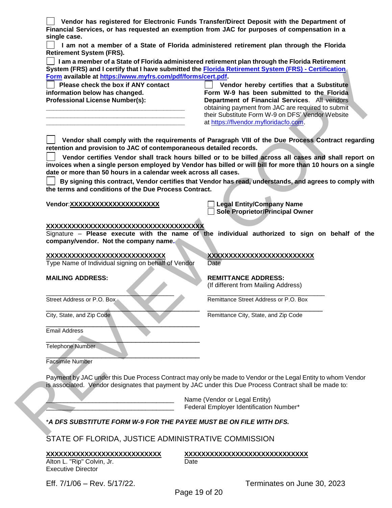**Vendor has registered for Electronic Funds Transfer/Direct Deposit with the Department of Financial Services, or has requested an exemption from JAC for purposes of compensation in a single case.**

 **I am not a member of a State of Florida administered retirement plan through the Florida Retirement System (FRS).**

 **I am a member of a State of Florida administered retirement plan through the Florida Retirement System (FRS) and I certify that I have submitted the Florida Retirement System (FRS) - Certification Form available at https://www.myfrs.com/pdf/forms/cert.pdf.** 

 **Please check the box if ANY contact information below has changed. Professional License Number(s):**

**\_\_\_\_\_\_\_\_\_\_\_\_\_\_\_\_\_\_\_\_\_\_\_\_\_\_\_\_\_\_\_\_\_\_\_\_\_\_\_ \_\_\_\_\_\_\_\_\_\_\_\_\_\_\_\_\_\_\_\_\_\_\_\_\_\_\_\_\_\_\_\_\_\_\_\_\_\_\_ \_\_\_\_\_\_\_\_\_\_\_\_\_\_\_\_\_\_\_\_\_\_\_\_\_\_\_\_\_\_\_\_\_\_\_\_\_\_\_**

 **Vendor hereby certifies that a Substitute Form W-9 has been submitted to the Florida Department of Financial Services**. All vendors obtaining payment from JAC are required to submit their Substitute Form W-9 on DFS' Vendor Website at https://flvendor.myfloridacfo.com.

 **Vendor shall comply with the requirements of Paragraph VIII of the Due Process Contract regarding retention and provision to JAC of contemporaneous detailed records.**

 **Vendor certifies Vendor shall track hours billed or to be billed across all cases and shall report on invoices when a single person employed by Vendor has billed or will bill for more than 10 hours on a single date or more than 50 hours in a calendar week across all cases.** System (FRS) and certifics the the contract the <u>Franchise Copy series</u> that is a business of the contract tensor in the contract tensor in the contract of the Franchise Copy and tensor in the contract of the contract of

 **By signing this contract, Vendor certifies that Vendor has read, understands, and agrees to comply with the terms and conditions of the Due Process Contract.**

**Vendor**:**XXXXXXXXXXXXXXXXXXXXX Legal Entity/Company Name**

**Sole Proprietor/Principal Owner**

(If different from Mailing Address)

#### **XXXXXXXXXXXXXXXXXXXXXXXXXXXXXXXXXXXXX**

Signature – **Please execute with the name of the individual authorized to sign on behalf of the company/vendor. Not the company name.**

#### **XXXXXXXXXXXXXXXXXXXXXXXXXXXX XXXXXXXXXXXXXXXXXXXXXXXXX**

Type Name of Individual signing on behalf of Vendor Date

#### **MAILING ADDRESS: REMITTANCE ADDRESS:**

\_\_\_\_\_\_\_\_\_\_\_\_\_\_\_\_\_\_\_\_\_\_\_\_\_\_\_\_\_\_\_\_\_\_\_\_ \_\_\_\_\_\_\_\_\_\_\_\_\_\_\_\_\_\_\_\_\_\_\_\_\_\_\_\_\_\_\_\_\_ Street Address or P.O. Box Remittance Street Address or P.O. Box

City, State, and Zip Code Remittance City, State, and Zip Code

 $\qquad \qquad \qquad \qquad \qquad \qquad$ Email Address

 $\qquad \qquad \qquad \qquad \qquad \qquad \qquad \qquad$ Telephone Number

 $\mathcal{L}=\mathcal{L}=\mathcal{L}=\mathcal{L}=\mathcal{L}=\mathcal{L}=\mathcal{L}=\mathcal{L}=\mathcal{L}=\mathcal{L}=\mathcal{L}=\mathcal{L}=\mathcal{L}=\mathcal{L}=\mathcal{L}=\mathcal{L}=\mathcal{L}=\mathcal{L}=\mathcal{L}=\mathcal{L}=\mathcal{L}=\mathcal{L}=\mathcal{L}=\mathcal{L}=\mathcal{L}=\mathcal{L}=\mathcal{L}=\mathcal{L}=\mathcal{L}=\mathcal{L}=\mathcal{L}=\mathcal{L}=\mathcal{L}=\mathcal{L}=\mathcal{L}=\mathcal{L}=\mathcal{$ Facsimile Number

Payment by JAC under this Due Process Contract may only be made to Vendor or the Legal Entity to whom Vendor is associated. Vendor designates that payment by JAC under this Due Process Contract shall be made to:

 $\blacksquare$ 

Name (Vendor or Legal Entity) Federal Employer Identification Number\*

#### \**A DFS SUBSTITUTE FORM W-9 FOR THE PAYEE MUST BE ON FILE WITH DFS.*

STATE OF FLORIDA, JUSTICE ADMINISTRATIVE COMMISSION

Alton L. "Rip" Colvin, Jr. **Example 20 and Conventional Convention** Date Executive Director

# **XXXXXXXXXXXXXXXXXXXXXXXXXXX XXXXXXXXXXXXXXXXXXXXXXXXXXXXX**

Eff. 7/1/06 – Rev. 5/17/22. Terminates on June 30, 2023

Page 19 of 20